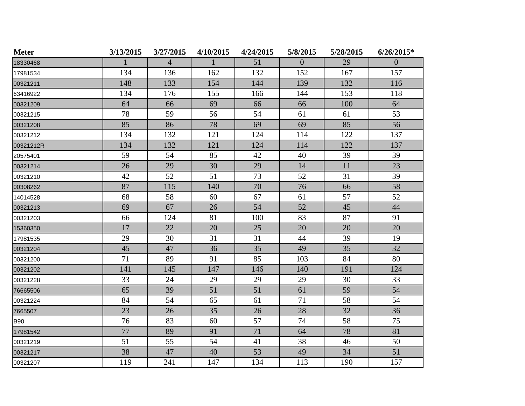| <b>Meter</b> | 3/13/2015 | 3/27/2015      | 4/10/2015    | 4/24/2015 | 5/8/2015       | 5/28/2015 | $6/26/2015*$     |
|--------------|-----------|----------------|--------------|-----------|----------------|-----------|------------------|
| 18330468     | 1         | $\overline{4}$ | $\mathbf{1}$ | 51        | $\overline{0}$ | 29        | $\boldsymbol{0}$ |
| 17981534     | 134       | 136            | 162          | 132       | 152            | 167       | 157              |
| 00321211     | 148       | 133            | 154          | 144       | 139            | 132       | 116              |
| 63416922     | 134       | 176            | 155          | 166       | 144            | 153       | 118              |
| 00321209     | 64        | 66             | 69           | 66        | 66             | 100       | 64               |
| 00321215     | 78        | 59             | 56           | 54        | 61             | 61        | 53               |
| 00321208     | 85        | 86             | 78           | 69        | 69             | 85        | 56               |
| 00321212     | 134       | 132            | 121          | 124       | 114            | 122       | 137              |
| 00321212R    | 134       | 132            | 121          | 124       | 114            | 122       | 137              |
| 20575401     | 59        | 54             | 85           | 42        | 40             | 39        | 39               |
| 00321214     | 26        | 29             | 30           | 29        | 14             | 11        | 23               |
| 00321210     | 42        | 52             | 51           | 73        | 52             | 31        | 39               |
| 00308262     | 87        | 115            | 140          | 70        | 76             | 66        | 58               |
| 14014528     | 68        | 58             | 60           | 67        | 61             | 57        | 52               |
| 00321213     | 69        | 67             | 26           | 54        | 52             | 45        | 44               |
| 00321203     | 66        | 124            | 81           | 100       | 83             | 87        | 91               |
| 15360350     | 17        | 22             | 20           | 25        | 20             | 20        | 20               |
| 17981535     | 29        | 30             | 31           | 31        | 44             | 39        | 19               |
| 00321204     | 45        | 47             | 36           | 35        | 49             | 35        | 32               |
| 00321200     | 71        | 89             | 91           | 85        | 103            | 84        | 80               |
| 00321202     | 141       | 145            | 147          | 146       | 140            | 191       | 124              |
| 00321228     | 33        | 24             | 29           | 29        | 29             | 30        | 33               |
| 76665506     | 65        | 39             | 51           | 51        | 61             | 59        | 54               |
| 00321224     | 84        | 54             | 65           | 61        | 71             | 58        | 54               |
| 7665507      | 23        | 26             | 35           | 26        | 28             | 32        | 36               |
| <b>B90</b>   | 76        | 83             | 60           | 57        | 74             | 58        | 75               |
| 17981542     | 77        | 89             | 91           | 71        | 64             | 78        | 81               |
| 00321219     | 51        | 55             | 54           | 41        | 38             | 46        | 50               |
| 00321217     | 38        | 47             | 40           | 53        | 49             | 34        | 51               |
| 00321207     | 119       | 241            | 147          | 134       | 113            | 190       | 157              |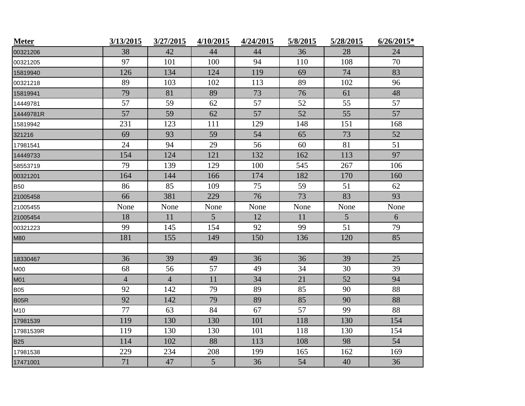| <b>Meter</b> | 3/13/2015      | 3/27/2015      | 4/10/2015      | 4/24/2015 | 5/8/2015 | 5/28/2015      | $6/26/2015*$ |
|--------------|----------------|----------------|----------------|-----------|----------|----------------|--------------|
| 00321206     | 38             | 42             | 44             | 44        | 36       | 28             | 24           |
| 00321205     | 97             | 101            | 100            | 94        | 110      | 108            | 70           |
| 15819940     | 126            | 134            | 124            | 119       | 69       | 74             | 83           |
| 00321218     | 89             | 103            | 102            | 113       | 89       | 102            | 96           |
| 15819941     | 79             | 81             | 89             | 73        | 76       | 61             | 48           |
| 14449781     | 57             | 59             | 62             | 57        | 52       | 55             | 57           |
| 14449781R    | 57             | 59             | 62             | 57        | 52       | 55             | 57           |
| 15819942     | 231            | 123            | 111            | 129       | 148      | 151            | 168          |
| 321216       | 69             | 93             | 59             | 54        | 65       | 73             | 52           |
| 17981541     | 24             | 94             | 29             | 56        | 60       | 81             | 51           |
| 14449733     | 154            | 124            | 121            | 132       | 162      | 113            | 97           |
| 58553719     | 79             | 139            | 129            | 100       | 545      | 267            | 106          |
| 00321201     | 164            | 144            | 166            | 174       | 182      | 170            | 160          |
| <b>B50</b>   | 86             | 85             | 109            | 75        | 59       | 51             | 62           |
| 21005458     | 66             | 381            | 229            | 76        | 73       | 83             | 93           |
| 21005455     | None           | None           | None           | None      | None     | None           | None         |
| 21005454     | 18             | 11             | $\overline{5}$ | 12        | 11       | $\overline{5}$ | 6            |
| 00321223     | 99             | 145            | 154            | 92        | 99       | 51             | 79           |
| <b>M80</b>   | 181            | 155            | 149            | 150       | 136      | 120            | 85           |
|              |                |                |                |           |          |                |              |
| 18330467     | 36             | 39             | 49             | 36        | 36       | 39             | 25           |
| <b>M00</b>   | 68             | 56             | 57             | 49        | 34       | 30             | 39           |
| M01          | $\overline{4}$ | $\overline{4}$ | 11             | 34        | 21       | 52             | 94           |
| <b>B05</b>   | 92             | 142            | 79             | 89        | 85       | 90             | 88           |
| <b>B05R</b>  | 92             | 142            | 79             | 89        | 85       | 90             | 88           |
| M10          | 77             | 63             | 84             | 67        | 57       | 99             | 88           |
| 17981539     | 119            | 130            | 130            | 101       | 118      | 130            | 154          |
| 17981539R    | 119            | 130            | 130            | 101       | 118      | 130            | 154          |
| <b>B25</b>   | 114            | 102            | 88             | 113       | 108      | 98             | 54           |
| 17981538     | 229            | 234            | 208            | 199       | 165      | 162            | 169          |
| 17471001     | 71             | 47             | 5              | 36        | 54       | 40             | 36           |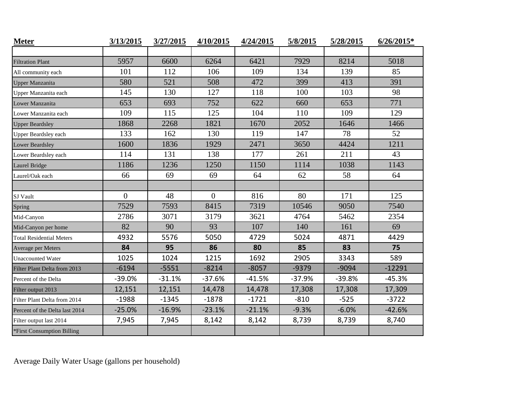| <b>Meter</b>                    | 3/13/2015 | 3/27/2015 | 4/10/2015 | 4/24/2015 | 5/8/2015 | 5/28/2015 | $6/26/2015*$ |
|---------------------------------|-----------|-----------|-----------|-----------|----------|-----------|--------------|
|                                 |           |           |           |           |          |           |              |
| <b>Filtration Plant</b>         | 5957      | 6600      | 6264      | 6421      | 7929     | 8214      | 5018         |
| All community each              | 101       | 112       | 106       | 109       | 134      | 139       | 85           |
| <b>Upper Manzanita</b>          | 580       | 521       | 508       | 472       | 399      | 413       | 391          |
| Upper Manzanita each            | 145       | 130       | 127       | 118       | 100      | 103       | 98           |
| Lower Manzanita                 | 653       | 693       | 752       | 622       | 660      | 653       | 771          |
| Lower Manzanita each            | 109       | 115       | 125       | 104       | 110      | 109       | 129          |
| <b>Upper Beardsley</b>          | 1868      | 2268      | 1821      | 1670      | 2052     | 1646      | 1466         |
| <b>Upper Beardsley each</b>     | 133       | 162       | 130       | 119       | 147      | 78        | 52           |
| Lower Beardsley                 | 1600      | 1836      | 1929      | 2471      | 3650     | 4424      | 1211         |
| Lower Beardsley each            | 114       | 131       | 138       | 177       | 261      | 211       | 43           |
| Laurel Bridge                   | 1186      | 1236      | 1250      | 1150      | 1114     | 1038      | 1143         |
| Laurel/Oak each                 | 66        | 69        | 69        | 64        | 62       | 58        | 64           |
|                                 |           |           |           |           |          |           |              |
| SJ Vault                        | $\Omega$  | 48        | $\theta$  | 816       | 80       | 171       | 125          |
| Spring                          | 7529      | 7593      | 8415      | 7319      | 10546    | 9050      | 7540         |
| Mid-Canyon                      | 2786      | 3071      | 3179      | 3621      | 4764     | 5462      | 2354         |
| Mid-Canyon per home             | 82        | 90        | 93        | 107       | 140      | 161       | 69           |
| <b>Total Residential Meters</b> | 4932      | 5576      | 5050      | 4729      | 5024     | 4871      | 4429         |
| Average per Meters              | 84        | 95        | 86        | 80        | 85       | 83        | 75           |
| <b>Unaccounted Water</b>        | 1025      | 1024      | 1215      | 1692      | 2905     | 3343      | 589          |
| Filter Plant Delta from 2013    | $-6194$   | $-5551$   | $-8214$   | $-8057$   | $-9379$  | $-9094$   | $-12291$     |
| Percent of the Delta            | $-39.0%$  | $-31.1%$  | $-37.6%$  | $-41.5%$  | $-37.9%$ | $-39.8%$  | $-45.3%$     |
| Filter output 2013              | 12,151    | 12,151    | 14,478    | 14,478    | 17,308   | 17,308    | 17,309       |
| Filter Plant Delta from 2014    | $-1988$   | $-1345$   | $-1878$   | $-1721$   | $-810$   | $-525$    | $-3722$      |
| Percent of the Delta last 2014  | $-25.0%$  | $-16.9%$  | $-23.1%$  | $-21.1%$  | $-9.3%$  | $-6.0%$   | $-42.6%$     |
| Filter output last 2014         | 7,945     | 7,945     | 8,142     | 8,142     | 8,739    | 8,739     | 8,740        |
| *First Consumption Billing      |           |           |           |           |          |           |              |